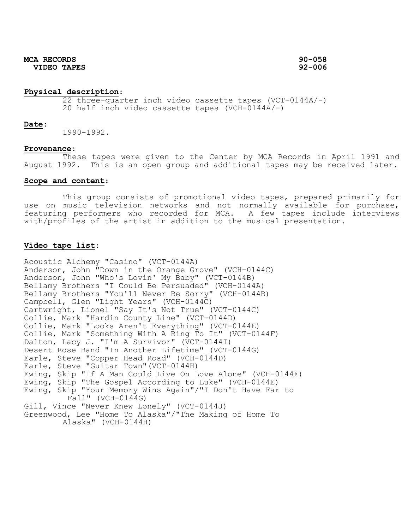#### **Physical description**:

22 three-quarter inch video cassette tapes (VCT-0144A/-) 20 half inch video cassette tapes (VCH-0144A/-)

#### **Date**:

1990-1992.

#### **Provenance**:

These tapes were given to the Center by MCA Records in April 1991 and August 1992. This is an open group and additional tapes may be received later.

## **Scope and content**:

This group consists of promotional video tapes, prepared primarily for use on music television networks and not normally available for purchase, featuring performers who recorded for MCA. A few tapes include interviews with/profiles of the artist in addition to the musical presentation.

#### **Video tape list**:

Acoustic Alchemy "Casino" (VCT-0144A) Anderson, John "Down in the Orange Grove" (VCH-0144C) Anderson, John "Who's Lovin' My Baby" (VCT-0144B) Bellamy Brothers "I Could Be Persuaded" (VCH-0144A) Bellamy Brothers "You'll Never Be Sorry" (VCH-0144B) Campbell, Glen "Light Years" (VCH-0144C) Cartwright, Lionel "Say It's Not True" (VCT-0144C) Collie, Mark "Hardin County Line" (VCT-0144D) Collie, Mark "Looks Aren't Everything" (VCT-0144E) Collie, Mark "Something With A Ring To It" (VCT-0144F) Dalton, Lacy J. "I'm A Survivor" (VCT-0144I) Desert Rose Band "In Another Lifetime" (VCT-0144G) Earle, Steve "Copper Head Road" (VCH-0144D) Earle, Steve "Guitar Town"(VCT-0144H) Ewing, Skip "If A Man Could Live On Love Alone" (VCH-0144F) Ewing, Skip "The Gospel According to Luke" (VCH-0144E) Ewing, Skip "Your Memory Wins Again"/"I Don't Have Far to Fall" (VCH-0144G) Gill, Vince "Never Knew Lonely" (VCT-0144J) Greenwood, Lee "Home To Alaska"/"The Making of Home To Alaska" (VCH-0144H)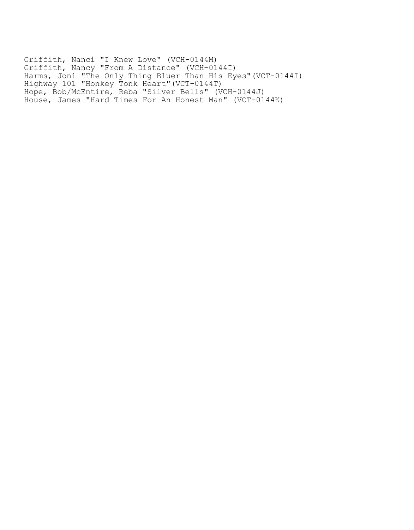Griffith, Nanci "I Knew Love" (VCH-0144M) Griffith, Nancy "From A Distance" (VCH-0144I) Harms, Joni "The Only Thing Bluer Than His Eyes"(VCT-0144I) Highway 101 "Honkey Tonk Heart"(VCT-0144T) Hope, Bob/McEntire, Reba "Silver Bells" (VCH-0144J) House, James "Hard Times For An Honest Man" (VCT-0144K)